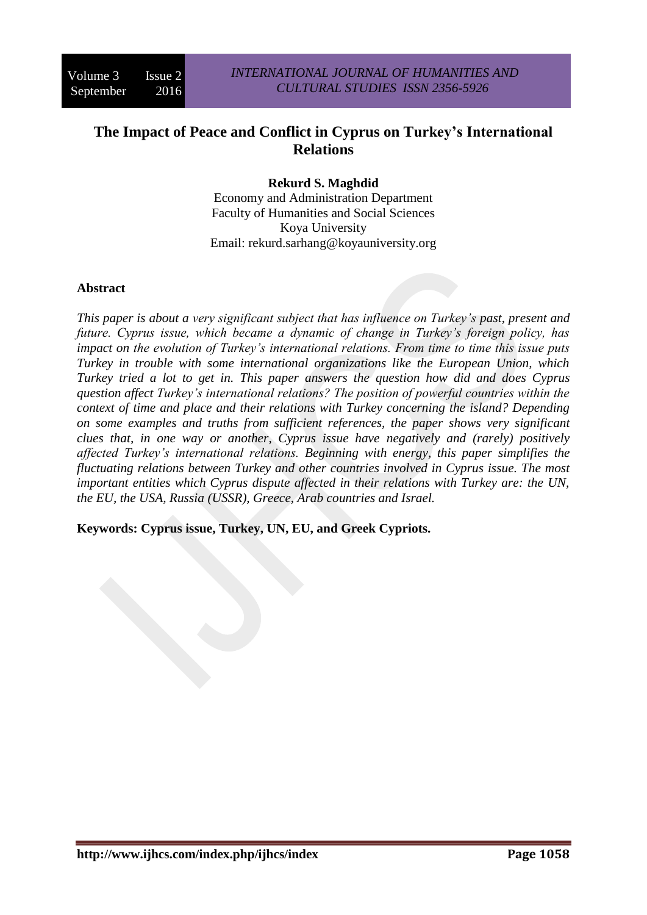# **The Impact of Peace and Conflict in Cyprus on Turkey's International Relations**

## **Rekurd S. Maghdid**

Economy and Administration Department Faculty of Humanities and Social Sciences Koya University Email: rekurd.sarhang@koyauniversity.org

### **Abstract**

*This paper is about a very significant subject that has influence on Turkey's past, present and future. Cyprus issue, which became a dynamic of change in Turkey's foreign policy, has impact on the evolution of Turkey's international relations. From time to time this issue puts Turkey in trouble with some international organizations like the European Union, which Turkey tried a lot to get in. This paper answers the question how did and does Cyprus question affect Turkey's international relations? The position of powerful countries within the context of time and place and their relations with Turkey concerning the island? Depending on some examples and truths from sufficient references, the paper shows very significant clues that, in one way or another, Cyprus issue have negatively and (rarely) positively affected Turkey's international relations. Beginning with energy, this paper simplifies the fluctuating relations between Turkey and other countries involved in Cyprus issue. The most important entities which Cyprus dispute affected in their relations with Turkey are: the UN, the EU, the USA, Russia (USSR), Greece, Arab countries and Israel.*

**Keywords: Cyprus issue, Turkey, UN, EU, and Greek Cypriots.**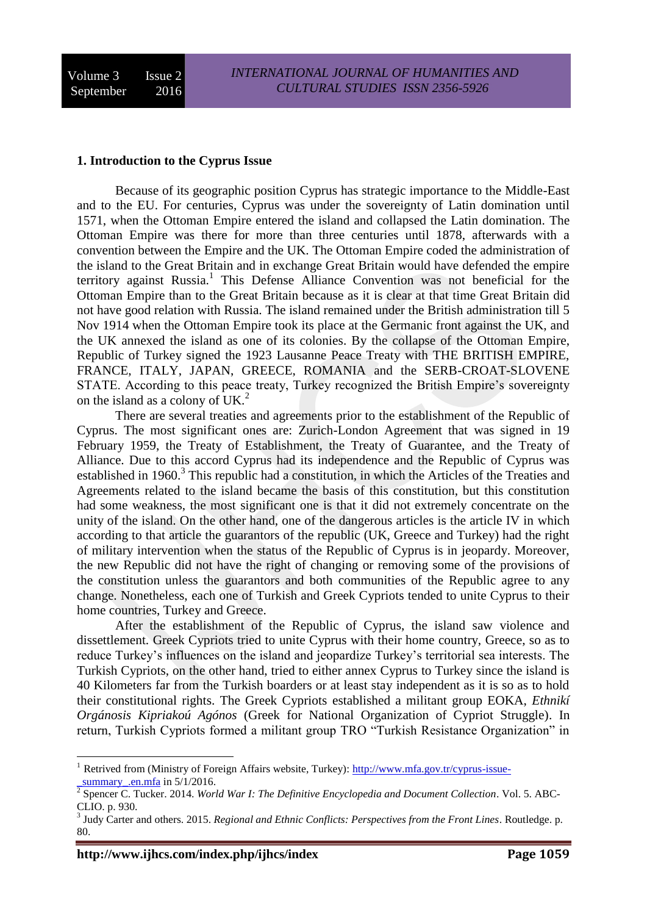#### **1. Introduction to the Cyprus Issue**

Because of its geographic position Cyprus has strategic importance to the Middle-East and to the EU. For centuries, Cyprus was under the sovereignty of Latin domination until 1571, when the Ottoman Empire entered the island and collapsed the Latin domination. The Ottoman Empire was there for more than three centuries until 1878, afterwards with a convention between the Empire and the UK. The Ottoman Empire coded the administration of the island to the Great Britain and in exchange Great Britain would have defended the empire territory against Russia.<sup>1</sup> This Defense Alliance Convention was not beneficial for the Ottoman Empire than to the Great Britain because as it is clear at that time Great Britain did not have good relation with Russia. The island remained under the British administration till 5 Nov 1914 when the Ottoman Empire took its place at the Germanic front against the UK, and the UK annexed the island as one of its colonies. By the collapse of the Ottoman Empire, Republic of Turkey signed the 1923 Lausanne Peace Treaty with THE BRITISH EMPIRE, FRANCE, ITALY, JAPAN, GREECE, ROMANIA and the SERB-CROAT-SLOVENE STATE. According to this peace treaty, Turkey recognized the British Empire's sovereignty on the island as a colony of UK.<sup>2</sup>

There are several treaties and agreements prior to the establishment of the Republic of Cyprus. The most significant ones are: Zurich-London Agreement that was signed in 19 February 1959, the Treaty of Establishment, the Treaty of Guarantee, and the Treaty of Alliance. Due to this accord Cyprus had its independence and the Republic of Cyprus was established in 1960.<sup>3</sup> This republic had a constitution, in which the Articles of the Treaties and Agreements related to the island became the basis of this constitution, but this constitution had some weakness, the most significant one is that it did not extremely concentrate on the unity of the island. On the other hand, one of the dangerous articles is the article IV in which according to that article the guarantors of the republic (UK, Greece and Turkey) had the right of military intervention when the status of the Republic of Cyprus is in jeopardy. Moreover, the new Republic did not have the right of changing or removing some of the provisions of the constitution unless the guarantors and both communities of the Republic agree to any change. Nonetheless, each one of Turkish and Greek Cypriots tended to unite Cyprus to their home countries, Turkey and Greece.

After the establishment of the Republic of Cyprus, the island saw violence and dissettlement. Greek Cypriots tried to unite Cyprus with their home country, Greece, so as to reduce Turkey's influences on the island and jeopardize Turkey's territorial sea interests. The Turkish Cypriots, on the other hand, tried to either annex Cyprus to Turkey since the island is 40 Kilometers far from the Turkish boarders or at least stay independent as it is so as to hold their constitutional rights. The Greek Cypriots established a militant group EOKA, *Ethnikí Orgánosis Kipriakoú Agónos* (Greek for National Organization of Cypriot Struggle). In return, Turkish Cypriots formed a militant group TRO "Turkish Resistance Organization" in

<sup>&</sup>lt;sup>1</sup> Retrived from (Ministry of Foreign Affairs website, Turkey): [http://www.mfa.gov.tr/cyprus-issue](http://www.mfa.gov.tr/cyprus-issue-_summary_.en.mfa) summary .en.mfa in  $5/1/2016$ .

<sup>2</sup> [Spencer C. Tucker.](https://www.google.iq/search?hl=ar&tbo=p&tbm=bks&q=inauthor:%22Spencer+C.+Tucker%22&source=gbs_metadata_r&cad=8) 2014. *World War I: The Definitive Encyclopedia and Document Collection*. Vol. 5. ABC-CLIO. p. 930.

<sup>3</sup> [Judy Carter](https://www.google.iq/search?hl=ar&tbo=p&tbm=bks&q=inauthor:%22Judy+Carter%22&source=gbs_metadata_r&cad=8) and others. 2015. *Regional and Ethnic Conflicts: Perspectives from the Front Lines*. Routledge. p. 80.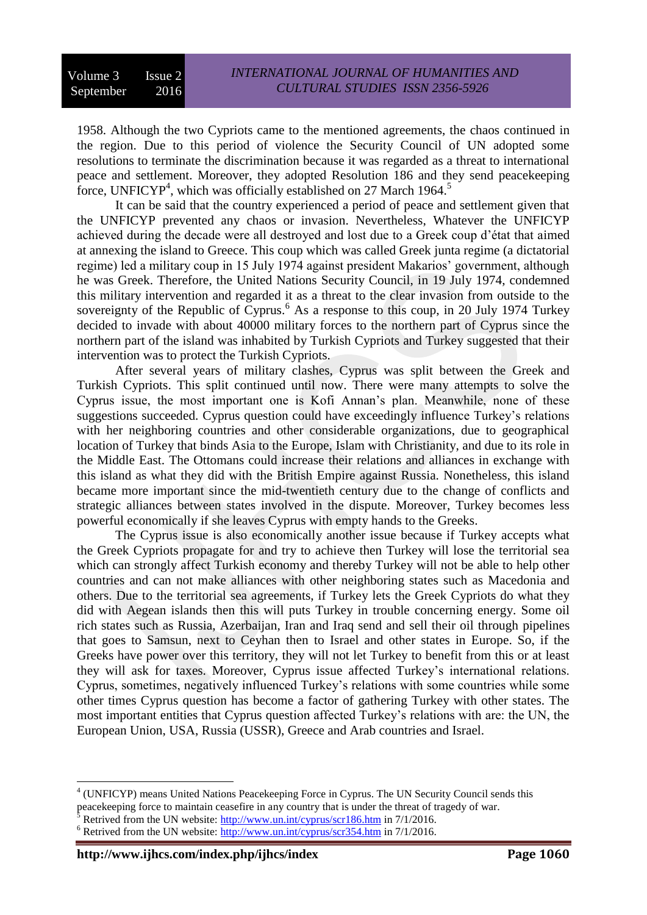1958. Although the two Cypriots came to the mentioned agreements, the chaos continued in the region. Due to this period of violence the Security Council of UN adopted some resolutions to terminate the discrimination because it was regarded as a threat to international peace and settlement. Moreover, they adopted Resolution 186 and they send peacekeeping force, UNFICYP<sup>4</sup>, which was officially established on 27 March 1964.<sup>5</sup>

It can be said that the country experienced a period of peace and settlement given that the UNFICYP prevented any chaos or invasion. Nevertheless, Whatever the UNFICYP achieved during the decade were all destroyed and lost due to a Greek coup d'état that aimed at annexing the island to Greece. This coup which was called Greek junta regime (a dictatorial regime) led a military coup in 15 July 1974 against president Makarios' government, although he was Greek. Therefore, the United Nations Security Council, in 19 July 1974, condemned this military intervention and regarded it as a threat to the clear invasion from outside to the sovereignty of the Republic of Cyprus.<sup>6</sup> As a response to this coup, in 20 July 1974 Turkey decided to invade with about 40000 military forces to the northern part of Cyprus since the northern part of the island was inhabited by Turkish Cypriots and Turkey suggested that their intervention was to protect the Turkish Cypriots.

After several years of military clashes, Cyprus was split between the Greek and Turkish Cypriots. This split continued until now. There were many attempts to solve the Cyprus issue, the most important one is Kofi Annan's plan. Meanwhile, none of these suggestions succeeded. Cyprus question could have exceedingly influence Turkey's relations with her neighboring countries and other considerable organizations, due to geographical location of Turkey that binds Asia to the Europe, Islam with Christianity, and due to its role in the Middle East. The Ottomans could increase their relations and alliances in exchange with this island as what they did with the British Empire against Russia. Nonetheless, this island became more important since the mid-twentieth century due to the change of conflicts and strategic alliances between states involved in the dispute. Moreover, Turkey becomes less powerful economically if she leaves Cyprus with empty hands to the Greeks.

The Cyprus issue is also economically another issue because if Turkey accepts what the Greek Cypriots propagate for and try to achieve then Turkey will lose the territorial sea which can strongly affect Turkish economy and thereby Turkey will not be able to help other countries and can not make alliances with other neighboring states such as Macedonia and others. Due to the territorial sea agreements, if Turkey lets the Greek Cypriots do what they did with Aegean islands then this will puts Turkey in trouble concerning energy. Some oil rich states such as Russia, Azerbaijan, Iran and Iraq send and sell their oil through pipelines that goes to Samsun, next to Ceyhan then to Israel and other states in Europe. So, if the Greeks have power over this territory, they will not let Turkey to benefit from this or at least they will ask for taxes. Moreover, Cyprus issue affected Turkey's international relations. Cyprus, sometimes, negatively influenced Turkey's relations with some countries while some other times Cyprus question has become a factor of gathering Turkey with other states. The most important entities that Cyprus question affected Turkey's relations with are: the UN, the European Union, USA, Russia (USSR), Greece and Arab countries and Israel.

<sup>&</sup>lt;sup>4</sup> (UNFICYP) means [United Nations](http://en.wikipedia.org/wiki/United_Nations) [Peacekeeping Force](http://en.wikipedia.org/wiki/Peacekeeping_Force) in [Cyprus.](http://en.wikipedia.org/wiki/Cyprus) The UN Security Council sends this peacekeeping force to maintain ceasefire in any country that is under the threat of tragedy of war.

Retrived from the UN website:<http://www.un.int/cyprus/scr186.htm> in 7/1/2016.

 $6$  Retrived from the UN website:<http://www.un.int/cyprus/scr354.htm> in 7/1/2016.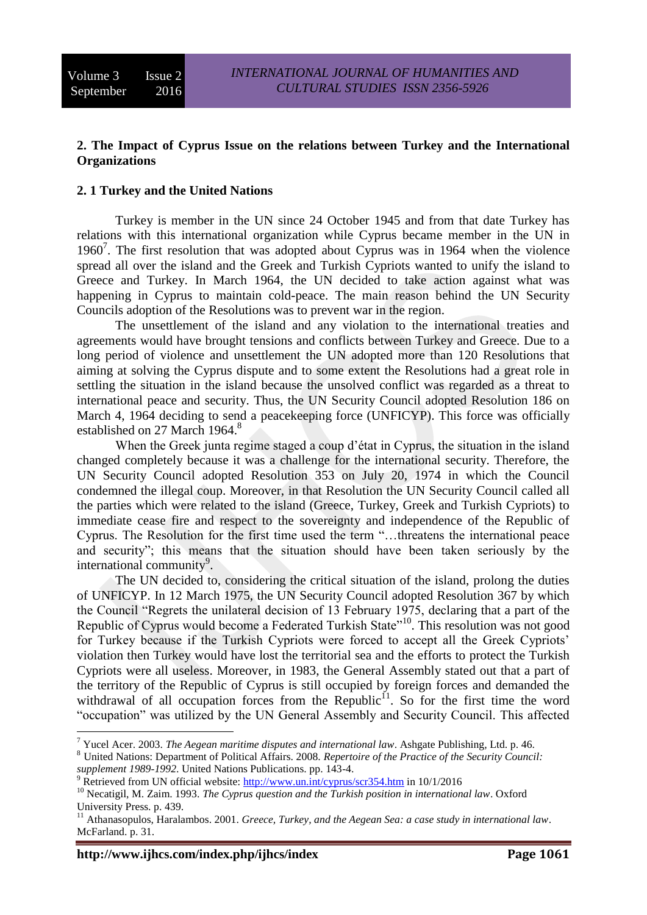## **2. The Impact of Cyprus Issue on the relations between Turkey and the International Organizations**

#### **2. 1 Turkey and the United Nations**

Turkey is member in the UN since 24 October 1945 and from that date Turkey has relations with this international organization while Cyprus became member in the UN in 1960<sup>7</sup>. The first resolution that was adopted about Cyprus was in 1964 when the violence spread all over the island and the Greek and Turkish Cypriots wanted to unify the island to Greece and Turkey. In March 1964, the UN decided to take action against what was happening in Cyprus to maintain cold-peace. The main reason behind the UN Security Councils adoption of the Resolutions was to prevent war in the region.

The unsettlement of the island and any violation to the international treaties and agreements would have brought tensions and conflicts between Turkey and Greece. Due to a long period of violence and unsettlement the UN adopted more than 120 Resolutions that aiming at solving the Cyprus dispute and to some extent the Resolutions had a great role in settling the situation in the island because the unsolved conflict was regarded as a threat to international peace and security. Thus, the UN Security Council adopted Resolution 186 on March 4, 1964 deciding to send a peacekeeping force (UNFICYP). This force was officially established on 27 March 1964.<sup>8</sup>

When the Greek junta regime staged a coup d'état in Cyprus, the situation in the island changed completely because it was a challenge for the international security. Therefore, the UN Security Council adopted Resolution 353 on July 20, 1974 in which the Council condemned the illegal coup. Moreover, in that Resolution the UN Security Council called all the parties which were related to the island (Greece, Turkey, Greek and Turkish Cypriots) to immediate cease fire and respect to the sovereignty and independence of the Republic of Cyprus. The Resolution for the first time used the term "…threatens the international peace and security"; this means that the situation should have been taken seriously by the international community<sup>9</sup>.

The UN decided to, considering the critical situation of the island, prolong the duties of UNFICYP. In 12 March 1975, the UN Security Council adopted Resolution 367 by which the Council "Regrets the unilateral decision of 13 February 1975, declaring that a part of the Republic of Cyprus would become a Federated Turkish State<sup>"10</sup>. This resolution was not good for Turkey because if the Turkish Cypriots were forced to accept all the Greek Cypriots' violation then Turkey would have lost the territorial sea and the efforts to protect the Turkish Cypriots were all useless. Moreover, in 1983, the General Assembly stated out that a part of the territory of the Republic of Cyprus is still occupied by foreign forces and demanded the withdrawal of all occupation forces from the Republic<sup>11</sup>. So for the first time the word "occupation" was utilized by the UN General Assembly and Security Council. This affected

<sup>&</sup>lt;u>.</u> <sup>7</sup> Yucel Acer. 2003. *The Aegean maritime disputes and international law*. Ashgate Publishing, Ltd. p. 46.

<sup>8</sup> United Nations: Department of Political Affairs. 2008. *Repertoire of the Practice of the Security Council: supplement 1989-1992*. United Nations Publications. pp. 143-4.

<sup>9</sup> Retrieved from UN official website:<http://www.un.int/cyprus/scr354.htm> in 10/1/2016

<sup>&</sup>lt;sup>10</sup> Necatigil, M. Zaim. 1993. *The Cyprus question and the Turkish position in international law*. Oxford University Press. p. 439.

<sup>&</sup>lt;sup>11</sup> Athanasopulos, Haralambos. 2001. *Greece, Turkey, and the Aegean Sea: a case study in international law.* McFarland. p. 31.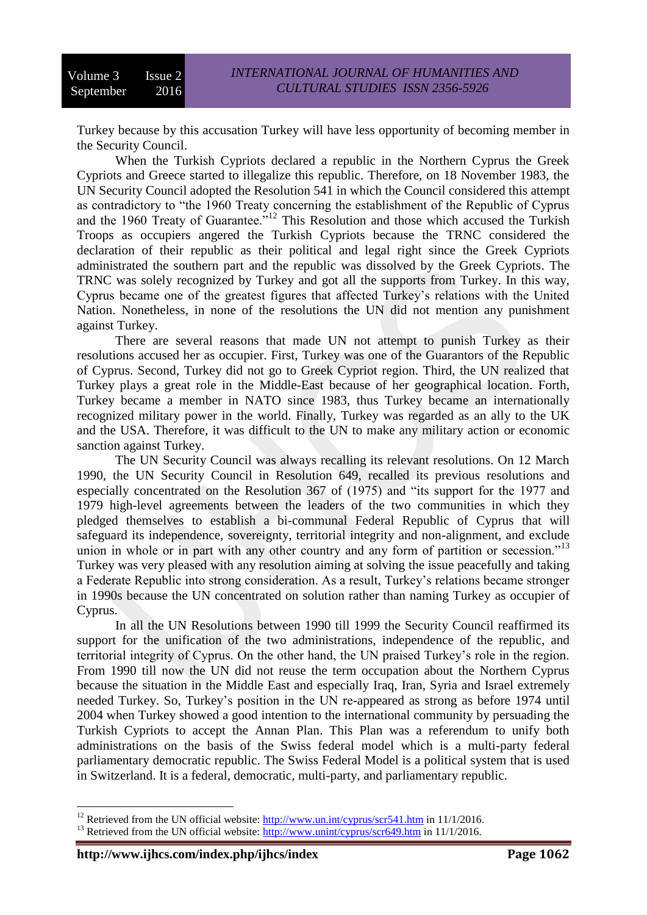Turkey because by this accusation Turkey will have less opportunity of becoming member in the Security Council.

When the Turkish Cypriots declared a republic in the Northern Cyprus the Greek Cypriots and Greece started to illegalize this republic. Therefore, on 18 November 1983, the UN Security Council adopted the Resolution 541 in which the Council considered this attempt as contradictory to "the 1960 Treaty concerning the establishment of the Republic of Cyprus and the 1960 Treaty of Guarantee."<sup>12</sup> This Resolution and those which accused the Turkish Troops as occupiers angered the Turkish Cypriots because the TRNC considered the declaration of their republic as their political and legal right since the Greek Cypriots administrated the southern part and the republic was dissolved by the Greek Cypriots. The TRNC was solely recognized by Turkey and got all the supports from Turkey. In this way, Cyprus became one of the greatest figures that affected Turkey's relations with the United Nation. Nonetheless, in none of the resolutions the UN did not mention any punishment against Turkey.

There are several reasons that made UN not attempt to punish Turkey as their resolutions accused her as occupier. First, Turkey was one of the Guarantors of the Republic of Cyprus. Second, Turkey did not go to Greek Cypriot region. Third, the UN realized that Turkey plays a great role in the Middle-East because of her geographical location. Forth, Turkey became a member in NATO since 1983, thus Turkey became an internationally recognized military power in the world. Finally, Turkey was regarded as an ally to the UK and the USA. Therefore, it was difficult to the UN to make any military action or economic sanction against Turkey.

The UN Security Council was always recalling its relevant resolutions. On 12 March 1990, the UN Security Council in Resolution 649, recalled its previous resolutions and especially concentrated on the Resolution 367 of (1975) and "its support for the 1977 and 1979 high-level agreements between the leaders of the two communities in which they pledged themselves to establish a bi-communal Federal Republic of Cyprus that will safeguard its independence, sovereignty, territorial integrity and non-alignment, and exclude union in whole or in part with any other country and any form of partition or secession."<sup>13</sup> Turkey was very pleased with any resolution aiming at solving the issue peacefully and taking a Federate Republic into strong consideration. As a result, Turkey's relations became stronger in 1990s because the UN concentrated on solution rather than naming Turkey as occupier of Cyprus.

In all the UN Resolutions between 1990 till 1999 the Security Council reaffirmed its support for the unification of the two administrations, independence of the republic, and territorial integrity of Cyprus. On the other hand, the UN praised Turkey's role in the region. From 1990 till now the UN did not reuse the term occupation about the Northern Cyprus because the situation in the Middle East and especially Iraq, Iran, Syria and Israel extremely needed Turkey. So, Turkey's position in the UN re-appeared as strong as before 1974 until 2004 when Turkey showed a good intention to the international community by persuading the Turkish Cypriots to accept the Annan Plan. This Plan was a referendum to unify both administrations on the basis of the Swiss federal model which is a multi-party federal parliamentary democratic republic. The Swiss Federal Model is a political system that is used in Switzerland. It is a federal, democratic, multi-party, and parliamentary republic.

<sup>&</sup>lt;sup>12</sup> Retrieved from the UN official website:  $\frac{http://www.un.int/cyprus/scr541.htm}{http://www.un.int/cyprus/scr541.htm}$  in 11/1/2016.

<sup>&</sup>lt;sup>13</sup> Retrieved from the UN official website:  $\frac{http://www.unint/cyprus/scr649.htm}{http://www.unint/cyprus/scr649.htm}$  in 11/1/2016.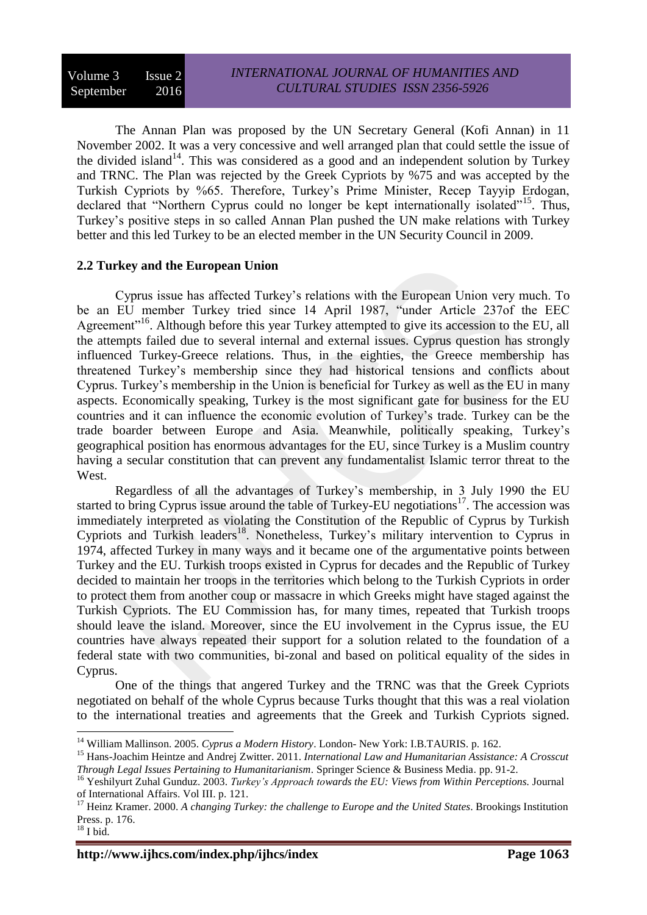The Annan Plan was proposed by the UN Secretary General (Kofi Annan) in 11 November 2002. It was a very concessive and well arranged plan that could settle the issue of the divided island<sup>14</sup>. This was considered as a good and an independent solution by Turkey and TRNC. The Plan was rejected by the Greek Cypriots by %75 and was accepted by the Turkish Cypriots by %65. Therefore, Turkey's Prime Minister, Recep Tayyip Erdogan, declared that "Northern Cyprus could no longer be kept internationally isolated"<sup>15</sup>. Thus, Turkey's positive steps in so called Annan Plan pushed the UN make relations with Turkey better and this led Turkey to be an elected member in the UN Security Council in 2009.

### **2.2 Turkey and the European Union**

Cyprus issue has affected Turkey's relations with the European Union very much. To be an EU member Turkey tried since 14 April 1987, "under Article 237of the EEC Agreement<sup>"16</sup>. Although before this year Turkey attempted to give its accession to the EU, all the attempts failed due to several internal and external issues. Cyprus question has strongly influenced Turkey-Greece relations. Thus, in the eighties, the Greece membership has threatened Turkey's membership since they had historical tensions and conflicts about Cyprus. Turkey's membership in the Union is beneficial for Turkey as well as the EU in many aspects. Economically speaking, Turkey is the most significant gate for business for the EU countries and it can influence the economic evolution of Turkey's trade. Turkey can be the trade boarder between Europe and Asia. Meanwhile, politically speaking, Turkey's geographical position has enormous advantages for the EU, since Turkey is a Muslim country having a secular constitution that can prevent any fundamentalist Islamic terror threat to the West.

Regardless of all the advantages of Turkey's membership, in 3 July 1990 the EU started to bring Cyprus issue around the table of Turkey-EU negotiations<sup>17</sup>. The accession was immediately interpreted as violating the Constitution of the Republic of Cyprus by Turkish Cypriots and Turkish leaders<sup>18</sup>. Nonetheless, Turkey's military intervention to Cyprus in 1974, affected Turkey in many ways and it became one of the argumentative points between Turkey and the EU. Turkish troops existed in Cyprus for decades and the Republic of Turkey decided to maintain her troops in the territories which belong to the Turkish Cypriots in order to protect them from another coup or massacre in which Greeks might have staged against the Turkish Cypriots. The EU Commission has, for many times, repeated that Turkish troops should leave the island. Moreover, since the EU involvement in the Cyprus issue, the EU countries have always repeated their support for a solution related to the foundation of a federal state with two communities, bi-zonal and based on political equality of the sides in Cyprus.

One of the things that angered Turkey and the TRNC was that the Greek Cypriots negotiated on behalf of the whole Cyprus because Turks thought that this was a real violation to the international treaties and agreements that the Greek and Turkish Cypriots signed.

<sup>14</sup> William Mallinson. 2005. *Cyprus a Modern History*. London- New York: I.B.TAURIS. p. 162.

<sup>15</sup> [Hans-Joachim Heintze](https://www.google.iq/search?hl=ar&tbo=p&tbm=bks&q=inauthor:%22Hans-Joachim+Heintze%22&source=gbs_metadata_r&cad=7) and [Andrej Zwitter.](https://www.google.iq/search?hl=ar&tbo=p&tbm=bks&q=inauthor:%22Andrej+Zwitter%22&source=gbs_metadata_r&cad=7) 2011. *International Law and Humanitarian Assistance: A Crosscut Through Legal Issues Pertaining to Humanitarianism*. Springer Science & Business Media. pp. 91-2.

<sup>16</sup> Yeshilyurt Zuhal Gunduz. 2003. *Turkey's Approach towards the EU: Views from Within Perceptions.* Journal of International Affairs. Vol III. p. 121.

<sup>&</sup>lt;sup>17</sup> Heinz Kramer. 2000. A changing Turkey: the challenge to Europe and the United States. Brookings Institution Press. p. 176.

 $^{18}$  I bid.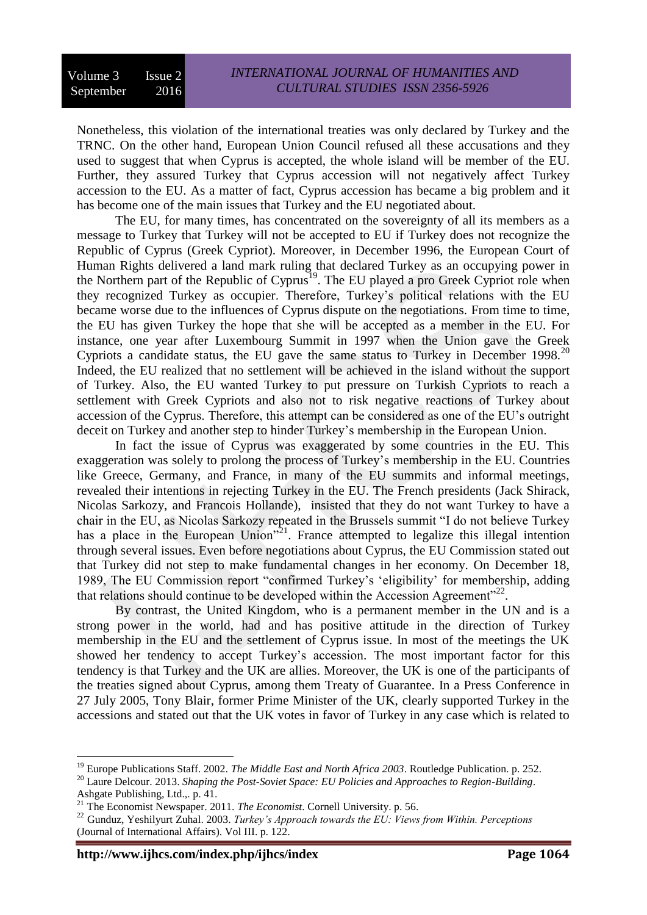Nonetheless, this violation of the international treaties was only declared by Turkey and the TRNC. On the other hand, European Union Council refused all these accusations and they used to suggest that when Cyprus is accepted, the whole island will be member of the EU. Further, they assured Turkey that Cyprus accession will not negatively affect Turkey accession to the EU. As a matter of fact, Cyprus accession has became a big problem and it has become one of the main issues that Turkey and the EU negotiated about.

The EU, for many times, has concentrated on the sovereignty of all its members as a message to Turkey that Turkey will not be accepted to EU if Turkey does not recognize the Republic of Cyprus (Greek Cypriot). Moreover, in December 1996, the European Court of Human Rights delivered a land mark ruling that declared Turkey as an occupying power in the Northern part of the Republic of Cyprus<sup>19</sup>. The EU played a pro Greek Cypriot role when they recognized Turkey as occupier. Therefore, Turkey's political relations with the EU became worse due to the influences of Cyprus dispute on the negotiations. From time to time, the EU has given Turkey the hope that she will be accepted as a member in the EU. For instance, one year after Luxembourg Summit in 1997 when the Union gave the Greek Cypriots a candidate status, the EU gave the same status to Turkey in December 1998.<sup>20</sup> Indeed, the EU realized that no settlement will be achieved in the island without the support of Turkey. Also, the EU wanted Turkey to put pressure on Turkish Cypriots to reach a settlement with Greek Cypriots and also not to risk negative reactions of Turkey about accession of the Cyprus. Therefore, this attempt can be considered as one of the EU's outright deceit on Turkey and another step to hinder Turkey's membership in the European Union.

In fact the issue of Cyprus was exaggerated by some countries in the EU. This exaggeration was solely to prolong the process of Turkey's membership in the EU. Countries like Greece, Germany, and France, in many of the EU summits and informal meetings, revealed their intentions in rejecting Turkey in the EU. The French presidents (Jack Shirack, Nicolas Sarkozy, and Francois Hollande), insisted that they do not want Turkey to have a chair in the EU, as Nicolas Sarkozy repeated in the Brussels summit "I do not believe Turkey has a place in the European Union<sup>721</sup>. France attempted to legalize this illegal intention through several issues. Even before negotiations about Cyprus, the EU Commission stated out that Turkey did not step to make fundamental changes in her economy. On December 18, 1989, The EU Commission report "confirmed Turkey's 'eligibility' for membership, adding that relations should continue to be developed within the Accession Agreement"<sup>22</sup>.

By contrast, the United Kingdom, who is a permanent member in the UN and is a strong power in the world, had and has positive attitude in the direction of Turkey membership in the EU and the settlement of Cyprus issue. In most of the meetings the UK showed her tendency to accept Turkey's accession. The most important factor for this tendency is that Turkey and the UK are allies. Moreover, the UK is one of the participants of the treaties signed about Cyprus, among them Treaty of Guarantee. In a Press Conference in 27 July 2005, Tony Blair, former Prime Minister of the UK, clearly supported Turkey in the accessions and stated out that the UK votes in favor of Turkey in any case which is related to

<sup>&</sup>lt;sup>19</sup> Europe Publications Staff. 2002. *The Middle East and North Africa 2003*. Routledge Publication. p. 252.

<sup>20</sup> [Laure Delcour.](https://www.google.iq/search?hl=ar&tbo=p&tbm=bks&q=inauthor:%22Laure+Delcour%22&source=gbs_metadata_r&cad=7) 2013. *Shaping the Post-Soviet Space: EU Policies and Approaches to Region-Building*. Ashgate Publishing, Ltd.,. p. 41.

<sup>21</sup> The Economist Newspaper. 2011. *The Economist*. Cornell University. p. 56.

<sup>22</sup> Gunduz, Yeshilyurt Zuhal. 2003. *Turkey's Approach towards the EU: Views from Within. Perceptions* (Journal of International Affairs). Vol III. p. 122.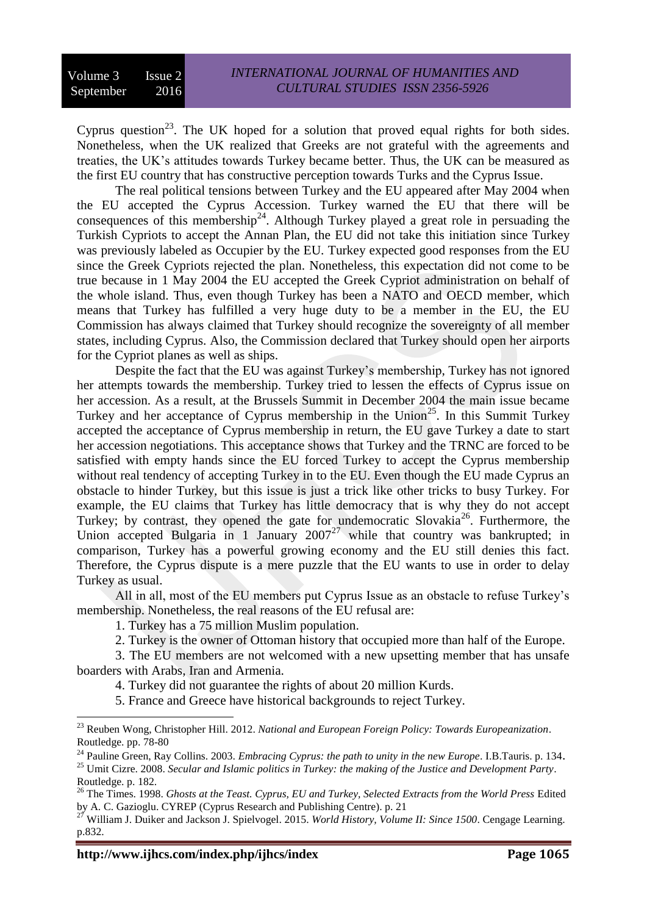Cyprus question<sup>23</sup>. The UK hoped for a solution that proved equal rights for both sides. Nonetheless, when the UK realized that Greeks are not grateful with the agreements and treaties, the UK's attitudes towards Turkey became better. Thus, the UK can be measured as the first EU country that has constructive perception towards Turks and the Cyprus Issue.

The real political tensions between Turkey and the EU appeared after May 2004 when the EU accepted the Cyprus Accession. Turkey warned the EU that there will be consequences of this membership<sup>24</sup>. Although Turkey played a great role in persuading the Turkish Cypriots to accept the Annan Plan, the EU did not take this initiation since Turkey was previously labeled as Occupier by the EU. Turkey expected good responses from the EU since the Greek Cypriots rejected the plan. Nonetheless, this expectation did not come to be true because in 1 May 2004 the EU accepted the Greek Cypriot administration on behalf of the whole island. Thus, even though Turkey has been a NATO and OECD member, which means that Turkey has fulfilled a very huge duty to be a member in the EU, the EU Commission has always claimed that Turkey should recognize the sovereignty of all member states, including Cyprus. Also, the Commission declared that Turkey should open her airports for the Cypriot planes as well as ships.

Despite the fact that the EU was against Turkey's membership, Turkey has not ignored her attempts towards the membership. Turkey tried to lessen the effects of Cyprus issue on her accession. As a result, at the Brussels Summit in December 2004 the main issue became Turkey and her acceptance of Cyprus membership in the Union<sup>25</sup>. In this Summit Turkey accepted the acceptance of Cyprus membership in return, the EU gave Turkey a date to start her accession negotiations. This acceptance shows that Turkey and the TRNC are forced to be satisfied with empty hands since the EU forced Turkey to accept the Cyprus membership without real tendency of accepting Turkey in to the EU. Even though the EU made Cyprus an obstacle to hinder Turkey, but this issue is just a trick like other tricks to busy Turkey. For example, the EU claims that Turkey has little democracy that is why they do not accept Turkey; by contrast, they opened the gate for undemocratic Slovakia<sup>26</sup>. Furthermore, the Union accepted Bulgaria in 1 January  $2007^{27}$  while that country was bankrupted; in comparison, Turkey has a powerful growing economy and the EU still denies this fact. Therefore, the Cyprus dispute is a mere puzzle that the EU wants to use in order to delay Turkey as usual.

All in all, most of the EU members put Cyprus Issue as an obstacle to refuse Turkey's membership. Nonetheless, the real reasons of the EU refusal are:

1. Turkey has a 75 million Muslim population.

2. Turkey is the owner of Ottoman history that occupied more than half of the Europe.

3. The EU members are not welcomed with a new upsetting member that has unsafe boarders with Arabs, Iran and Armenia.

4. Turkey did not guarantee the rights of about 20 million Kurds.

5. France and Greece have historical backgrounds to reject Turkey.

**http://www.ijhcs.com/index.php/ijhcs/index Page 1065**

<sup>23</sup> [Reuben Wong,](https://www.google.iq/search?hl=ar&tbo=p&tbm=bks&q=inauthor:%22Reuben+Wong%22&source=gbs_metadata_r&cad=8) [Christopher Hill.](https://www.google.iq/search?hl=ar&tbo=p&tbm=bks&q=inauthor:%22Christopher+Hill%22&source=gbs_metadata_r&cad=8) 2012. *National and European Foreign Policy: Towards Europeanization*. Routledge. pp. 78-80

<sup>&</sup>lt;sup>24</sup> Pauline Green, Ray Collins. 2003. *Embracing Cyprus: the path to unity in the new Europe*. I.B.Tauris. p. 134.

<sup>25</sup> Umit Cizre. 2008. *Secular and Islamic politics in Turkey: the making of the Justice and Development Party*. Routledge. p. 182.

<sup>26</sup> The Times. 1998. *Ghosts at the Teast. Cyprus, EU and Turkey, Selected Extracts from the World Press* Edited by A. C. Gazioglu. CYREP (Cyprus Research and Publishing Centre). p. 21

<sup>27</sup> [William J. Duiker](https://www.google.iq/search?hl=ar&tbo=p&tbm=bks&q=inauthor:%22William+J.+Duiker%22&source=gbs_metadata_r&cad=7) and [Jackson J. Spielvogel.](https://www.google.iq/search?hl=ar&tbo=p&tbm=bks&q=inauthor:%22Jackson+J.+Spielvogel%22&source=gbs_metadata_r&cad=7) 2015. *World History, Volume II: Since 1500*. Cengage Learning. p.832.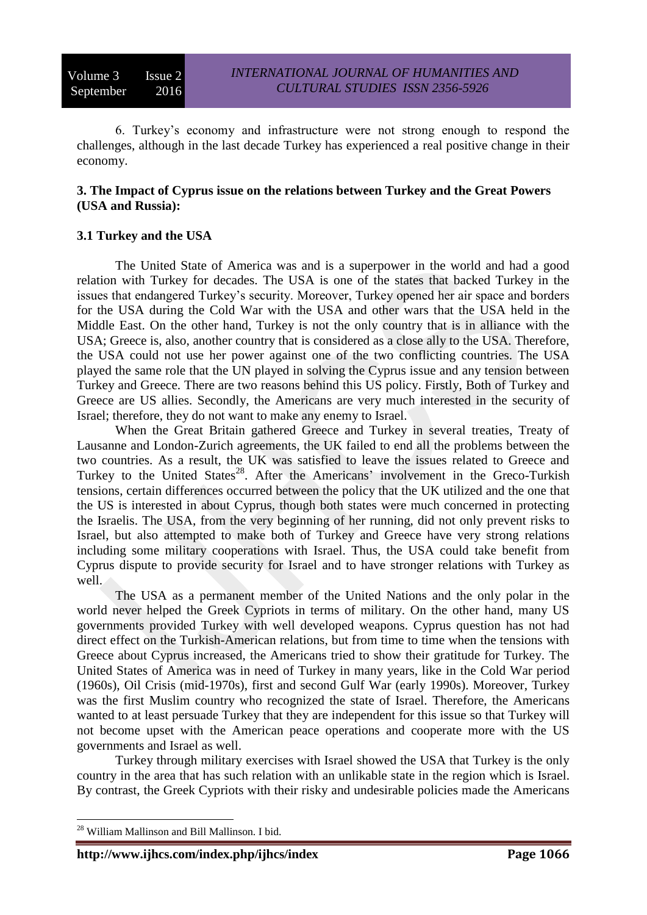6. Turkey's economy and infrastructure were not strong enough to respond the challenges, although in the last decade Turkey has experienced a real positive change in their economy.

### **3. The Impact of Cyprus issue on the relations between Turkey and the Great Powers (USA and Russia):**

## **3.1 Turkey and the USA**

The United State of America was and is a superpower in the world and had a good relation with Turkey for decades. The USA is one of the states that backed Turkey in the issues that endangered Turkey's security. Moreover, Turkey opened her air space and borders for the USA during the Cold War with the USA and other wars that the USA held in the Middle East. On the other hand, Turkey is not the only country that is in alliance with the USA; Greece is, also, another country that is considered as a close ally to the USA. Therefore, the USA could not use her power against one of the two conflicting countries. The USA played the same role that the UN played in solving the Cyprus issue and any tension between Turkey and Greece. There are two reasons behind this US policy. Firstly, Both of Turkey and Greece are US allies. Secondly, the Americans are very much interested in the security of Israel; therefore, they do not want to make any enemy to Israel.

When the Great Britain gathered Greece and Turkey in several treaties, Treaty of Lausanne and London-Zurich agreements, the UK failed to end all the problems between the two countries. As a result, the UK was satisfied to leave the issues related to Greece and Turkey to the United States<sup>28</sup>. After the Americans' involvement in the Greco-Turkish tensions, certain differences occurred between the policy that the UK utilized and the one that the US is interested in about Cyprus, though both states were much concerned in protecting the Israelis. The USA, from the very beginning of her running, did not only prevent risks to Israel, but also attempted to make both of Turkey and Greece have very strong relations including some military cooperations with Israel. Thus, the USA could take benefit from Cyprus dispute to provide security for Israel and to have stronger relations with Turkey as well.

The USA as a permanent member of the United Nations and the only polar in the world never helped the Greek Cypriots in terms of military. On the other hand, many US governments provided Turkey with well developed weapons. Cyprus question has not had direct effect on the Turkish-American relations, but from time to time when the tensions with Greece about Cyprus increased, the Americans tried to show their gratitude for Turkey. The United States of America was in need of Turkey in many years, like in the Cold War period (1960s), Oil Crisis (mid-1970s), first and second Gulf War (early 1990s). Moreover, Turkey was the first Muslim country who recognized the state of Israel. Therefore, the Americans wanted to at least persuade Turkey that they are independent for this issue so that Turkey will not become upset with the American peace operations and cooperate more with the US governments and Israel as well.

Turkey through military exercises with Israel showed the USA that Turkey is the only country in the area that has such relation with an unlikable state in the region which is Israel. By contrast, the Greek Cypriots with their risky and undesirable policies made the Americans

<sup>&</sup>lt;sup>28</sup> William Mallinson and Bill Mallinson. I bid.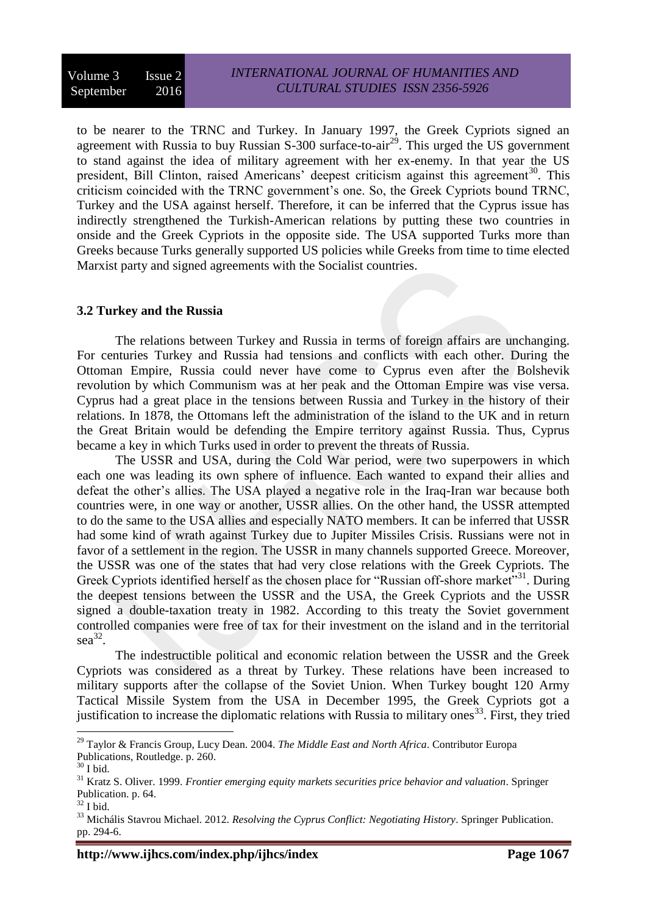to be nearer to the TRNC and Turkey. In January 1997, the Greek Cypriots signed an agreement with Russia to buy Russian  $S-300$  surface-to-air<sup>29</sup>. This urged the US government to stand against the idea of military agreement with her ex-enemy. In that year the US president, Bill Clinton, raised Americans' deepest criticism against this agreement<sup>30</sup>. This criticism coincided with the TRNC government's one. So, the Greek Cypriots bound TRNC, Turkey and the USA against herself. Therefore, it can be inferred that the Cyprus issue has indirectly strengthened the Turkish-American relations by putting these two countries in onside and the Greek Cypriots in the opposite side. The USA supported Turks more than Greeks because Turks generally supported US policies while Greeks from time to time elected Marxist party and signed agreements with the Socialist countries.

#### **3.2 Turkey and the Russia**

The relations between Turkey and Russia in terms of foreign affairs are unchanging. For centuries Turkey and Russia had tensions and conflicts with each other. During the Ottoman Empire, Russia could never have come to Cyprus even after the Bolshevik revolution by which Communism was at her peak and the Ottoman Empire was vise versa. Cyprus had a great place in the tensions between Russia and Turkey in the history of their relations. In 1878, the Ottomans left the administration of the island to the UK and in return the Great Britain would be defending the Empire territory against Russia. Thus, Cyprus became a key in which Turks used in order to prevent the threats of Russia.

The USSR and USA, during the Cold War period, were two superpowers in which each one was leading its own sphere of influence. Each wanted to expand their allies and defeat the other's allies. The USA played a negative role in the Iraq-Iran war because both countries were, in one way or another, USSR allies. On the other hand, the USSR attempted to do the same to the USA allies and especially NATO members. It can be inferred that USSR had some kind of wrath against Turkey due to Jupiter Missiles Crisis. Russians were not in favor of a settlement in the region. The USSR in many channels supported Greece. Moreover, the USSR was one of the states that had very close relations with the Greek Cypriots. The Greek Cypriots identified herself as the chosen place for "Russian off-shore market"<sup>31</sup>. During the deepest tensions between the USSR and the USA, the Greek Cypriots and the USSR signed a double-taxation treaty in 1982. According to this treaty the Soviet government controlled companies were free of tax for their investment on the island and in the territorial  $sea^{32}$ .

The indestructible political and economic relation between the USSR and the Greek Cypriots was considered as a threat by Turkey. These relations have been increased to military supports after the collapse of the Soviet Union. When Turkey bought 120 Army Tactical Missile System from the USA in December 1995, the Greek Cypriots got a justification to increase the diplomatic relations with Russia to military ones<sup>33</sup>. First, they tried

<sup>29</sup> Taylor & Francis Group, Lucy Dean. 2004. *The Middle East and North Africa*. Contributor Europa Publications, Routledge. p. 260.

 $30$  I bid.

<sup>31</sup> Kratz S. Oliver. 1999. *Frontier emerging equity markets securities price behavior and valuation*. Springer Publication. p. 64.

 $32$  I bid.

<sup>33</sup> [Michális Stavrou Michael.](https://www.google.iq/search?hl=ar&tbo=p&tbm=bks&q=inauthor:%22Mich%C3%A1lis+Stavrou+Michael%22&source=gbs_metadata_r&cad=8) 2012. *Resolving the Cyprus Conflict: Negotiating History*. Springer Publication. pp. 294-6.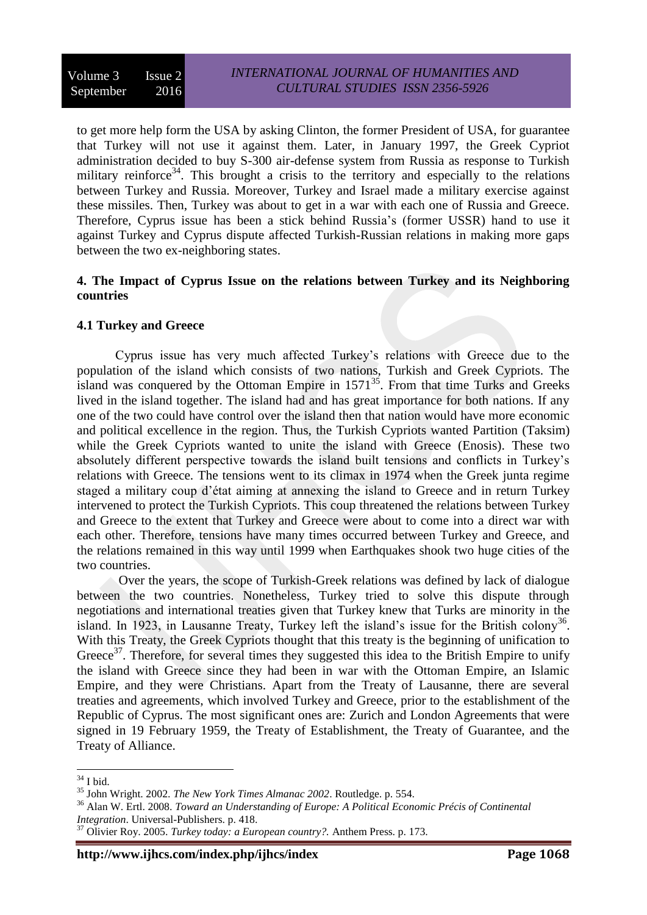to get more help form the USA by asking Clinton, the former President of USA, for guarantee that Turkey will not use it against them. Later, in January 1997, the Greek Cypriot administration decided to buy S-300 air-defense system from Russia as response to Turkish military reinforce<sup>34</sup>. This brought a crisis to the territory and especially to the relations between Turkey and Russia. Moreover, Turkey and Israel made a military exercise against these missiles. Then, Turkey was about to get in a war with each one of Russia and Greece. Therefore, Cyprus issue has been a stick behind Russia's (former USSR) hand to use it against Turkey and Cyprus dispute affected Turkish-Russian relations in making more gaps between the two ex-neighboring states.

#### **4. The Impact of Cyprus Issue on the relations between Turkey and its Neighboring countries**

### **4.1 Turkey and Greece**

Cyprus issue has very much affected Turkey's relations with Greece due to the population of the island which consists of two nations, Turkish and Greek Cypriots. The island was conquered by the Ottoman Empire in 1571<sup>35</sup>. From that time Turks and Greeks lived in the island together. The island had and has great importance for both nations. If any one of the two could have control over the island then that nation would have more economic and political excellence in the region. Thus, the Turkish Cypriots wanted Partition (Taksim) while the Greek Cypriots wanted to unite the island with Greece (Enosis). These two absolutely different perspective towards the island built tensions and conflicts in Turkey's relations with Greece. The tensions went to its climax in 1974 when the Greek junta regime staged a military coup d'état aiming at annexing the island to Greece and in return Turkey intervened to protect the Turkish Cypriots. This coup threatened the relations between Turkey and Greece to the extent that Turkey and Greece were about to come into a direct war with each other. Therefore, tensions have many times occurred between Turkey and Greece, and the relations remained in this way until 1999 when Earthquakes shook two huge cities of the two countries.

Over the years, the scope of Turkish-Greek relations was defined by lack of dialogue between the two countries. Nonetheless, Turkey tried to solve this dispute through negotiations and international treaties given that Turkey knew that Turks are minority in the island. In 1923, in Lausanne Treaty, Turkey left the island's issue for the British colony<sup>36</sup>. With this Treaty, the Greek Cypriots thought that this treaty is the beginning of unification to Greece<sup>37</sup>. Therefore, for several times they suggested this idea to the British Empire to unify the island with Greece since they had been in war with the Ottoman Empire, an Islamic Empire, and they were Christians. Apart from the Treaty of Lausanne, there are several treaties and agreements, which involved Turkey and Greece, prior to the establishment of the Republic of Cyprus. The most significant ones are: Zurich and London Agreements that were signed in 19 February 1959, the Treaty of Establishment, the Treaty of Guarantee, and the Treaty of Alliance.

**http://www.ijhcs.com/index.php/ijhcs/index Page 1068**

<sup>&</sup>lt;u>.</u>  $34$  I bid.

<sup>35</sup> John Wright. 2002. *The New York Times Almanac 2002*. Routledge. p. 554.

<sup>36</sup> Alan W. Ertl. 2008. *Toward an Understanding of Europe: A Political Economic Précis of Continental Integration*. Universal-Publishers. p. 418.

<sup>37</sup> Olivier Roy. 2005. *Turkey today: a European country?.* Anthem Press. p. 173.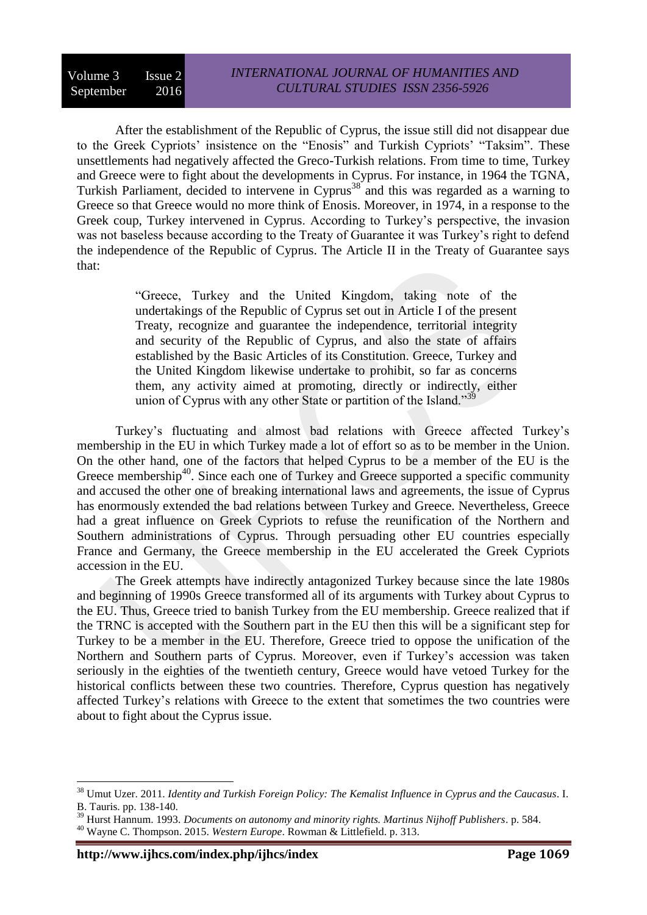After the establishment of the Republic of Cyprus, the issue still did not disappear due to the Greek Cypriots' insistence on the "Enosis" and Turkish Cypriots' "Taksim". These unsettlements had negatively affected the Greco-Turkish relations. From time to time, Turkey and Greece were to fight about the developments in Cyprus. For instance, in 1964 the TGNA, Turkish Parliament, decided to intervene in Cyprus<sup>38</sup> and this was regarded as a warning to Greece so that Greece would no more think of Enosis. Moreover, in 1974, in a response to the Greek coup, Turkey intervened in Cyprus. According to Turkey's perspective, the invasion was not baseless because according to the Treaty of Guarantee it was Turkey's right to defend the independence of the Republic of Cyprus. The Article II in the Treaty of Guarantee says that:

> "Greece, Turkey and the United Kingdom, taking note of the undertakings of the Republic of Cyprus set out in Article I of the present Treaty, recognize and guarantee the independence, territorial integrity and security of the Republic of Cyprus, and also the state of affairs established by the Basic Articles of its Constitution. Greece, Turkey and the United Kingdom likewise undertake to prohibit, so far as concerns them, any activity aimed at promoting, directly or indirectly, either union of Cyprus with any other State or partition of the Island."<sup>39</sup>

Turkey's fluctuating and almost bad relations with Greece affected Turkey's membership in the EU in which Turkey made a lot of effort so as to be member in the Union. On the other hand, one of the factors that helped Cyprus to be a member of the EU is the Greece membership<sup>40</sup>. Since each one of Turkey and Greece supported a specific community and accused the other one of breaking international laws and agreements, the issue of Cyprus has enormously extended the bad relations between Turkey and Greece. Nevertheless, Greece had a great influence on Greek Cypriots to refuse the reunification of the Northern and Southern administrations of Cyprus. Through persuading other EU countries especially France and Germany, the Greece membership in the EU accelerated the Greek Cypriots accession in the EU.

The Greek attempts have indirectly antagonized Turkey because since the late 1980s and beginning of 1990s Greece transformed all of its arguments with Turkey about Cyprus to the EU. Thus, Greece tried to banish Turkey from the EU membership. Greece realized that if the TRNC is accepted with the Southern part in the EU then this will be a significant step for Turkey to be a member in the EU. Therefore, Greece tried to oppose the unification of the Northern and Southern parts of Cyprus. Moreover, even if Turkey's accession was taken seriously in the eighties of the twentieth century, Greece would have vetoed Turkey for the historical conflicts between these two countries. Therefore, Cyprus question has negatively affected Turkey's relations with Greece to the extent that sometimes the two countries were about to fight about the Cyprus issue.

<sup>38</sup> Umut Uzer. 2011. *Identity and Turkish Foreign Policy: The Kemalist Influence in Cyprus and the Caucasus*. I. B. Tauris. pp. 138-140.

<sup>39</sup> Hurst Hannum. 1993. *Documents on autonomy and minority rights. Martinus Nijhoff Publishers*. p. 584.

<sup>40</sup> [Wayne C. Thompson.](https://www.google.iq/search?hl=ar&tbo=p&tbm=bks&q=inauthor:%22Wayne+C.+Thompson%22&source=gbs_metadata_r&cad=7) 2015. *Western Europe*. Rowman & Littlefield. p. 313.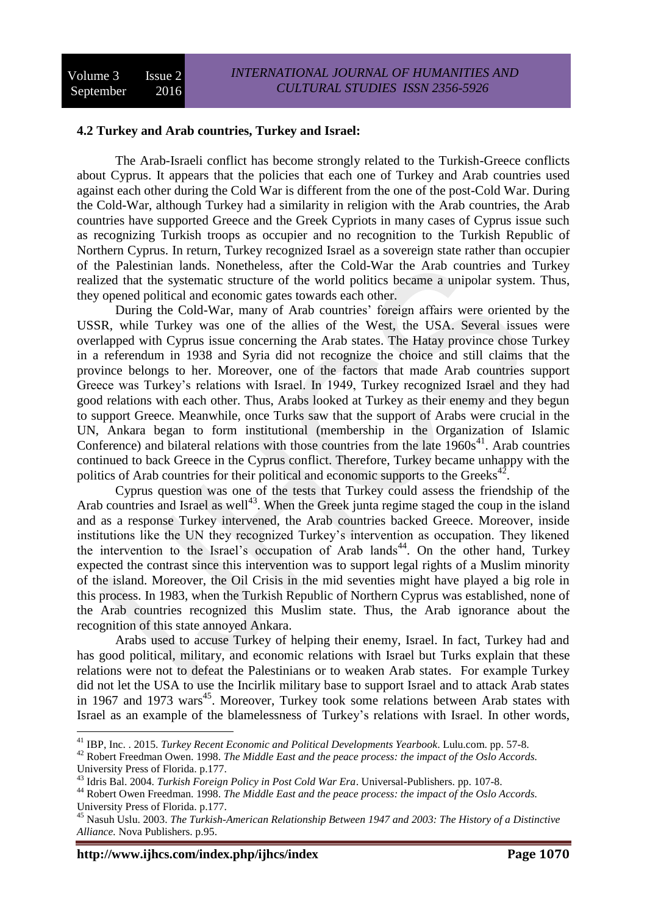#### **4.2 Turkey and Arab countries, Turkey and Israel:**

The Arab-Israeli conflict has become strongly related to the Turkish-Greece conflicts about Cyprus. It appears that the policies that each one of Turkey and Arab countries used against each other during the Cold War is different from the one of the post-Cold War. During the Cold-War, although Turkey had a similarity in religion with the Arab countries, the Arab countries have supported Greece and the Greek Cypriots in many cases of Cyprus issue such as recognizing Turkish troops as occupier and no recognition to the Turkish Republic of Northern Cyprus. In return, Turkey recognized Israel as a sovereign state rather than occupier of the Palestinian lands. Nonetheless, after the Cold-War the Arab countries and Turkey realized that the systematic structure of the world politics became a unipolar system. Thus, they opened political and economic gates towards each other.

During the Cold-War, many of Arab countries' foreign affairs were oriented by the USSR, while Turkey was one of the allies of the West, the USA. Several issues were overlapped with Cyprus issue concerning the Arab states. The Hatay province chose Turkey in a referendum in 1938 and Syria did not recognize the choice and still claims that the province belongs to her. Moreover, one of the factors that made Arab countries support Greece was Turkey's relations with Israel. In 1949, Turkey recognized Israel and they had good relations with each other. Thus, Arabs looked at Turkey as their enemy and they begun to support Greece. Meanwhile, once Turks saw that the support of Arabs were crucial in the UN, Ankara began to form institutional (membership in the Organization of Islamic Conference) and bilateral relations with those countries from the late  $1960s<sup>41</sup>$ . Arab countries continued to back Greece in the Cyprus conflict. Therefore, Turkey became unhappy with the politics of Arab countries for their political and economic supports to the Greeks<sup>42</sup>.

Cyprus question was one of the tests that Turkey could assess the friendship of the Arab countries and Israel as well<sup>43</sup>. When the Greek junta regime staged the coup in the island and as a response Turkey intervened, the Arab countries backed Greece. Moreover, inside institutions like the UN they recognized Turkey's intervention as occupation. They likened the intervention to the Israel's occupation of Arab lands<sup>44</sup>. On the other hand, Turkey expected the contrast since this intervention was to support legal rights of a Muslim minority of the island. Moreover, the Oil Crisis in the mid seventies might have played a big role in this process. In 1983, when the Turkish Republic of Northern Cyprus was established, none of the Arab countries recognized this Muslim state. Thus, the Arab ignorance about the recognition of this state annoyed Ankara.

Arabs used to accuse Turkey of helping their enemy, Israel. In fact, Turkey had and has good political, military, and economic relations with Israel but Turks explain that these relations were not to defeat the Palestinians or to weaken Arab states. For example Turkey did not let the USA to use the Incirlik military base to support Israel and to attack Arab states in 1967 and 1973 wars<sup>45</sup>. Moreover, Turkey took some relations between Arab states with Israel as an example of the blamelessness of Turkey's relations with Israel. In other words,

<sup>41</sup> [IBP, Inc.](https://www.google.iq/search?hl=ar&tbo=p&tbm=bks&q=inauthor:%22IBP,+Inc.%22&source=gbs_metadata_r&cad=6) . 2015. *Turkey Recent Economic and Political Developments Yearbook*. Lulu.com. pp. 57-8.

<sup>42</sup> Robert Freedman Owen. 1998. *The Middle East and the peace process: the impact of the Oslo Accords.* University Press of Florida. p.177.

<sup>43</sup> Idris Bal. 2004. *Turkish Foreign Policy in Post Cold War Era*. Universal-Publishers. pp. 107-8.

<sup>44</sup> Robert Owen Freedman. 1998. *The Middle East and the peace process: the impact of the Oslo Accords.* University Press of Florida. p.177.

<sup>45</sup> [Nasuh Uslu.](https://www.google.iq/search?hl=ar&tbo=p&tbm=bks&q=inauthor:%22Nasuh+Uslu%22&source=gbs_metadata_r&cad=9) 2003. *The Turkish-American Relationship Between 1947 and 2003: The History of a Distinctive Alliance.* Nova Publishers. p.95.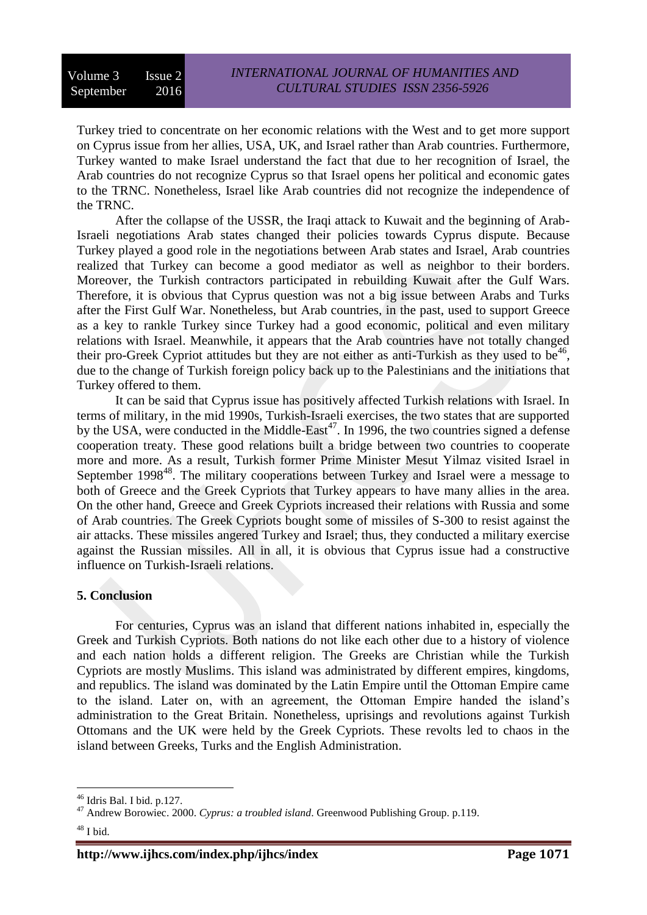Turkey tried to concentrate on her economic relations with the West and to get more support on Cyprus issue from her allies, USA, UK, and Israel rather than Arab countries. Furthermore, Turkey wanted to make Israel understand the fact that due to her recognition of Israel, the Arab countries do not recognize Cyprus so that Israel opens her political and economic gates to the TRNC. Nonetheless, Israel like Arab countries did not recognize the independence of the TRNC.

After the collapse of the USSR, the Iraqi attack to Kuwait and the beginning of Arab-Israeli negotiations Arab states changed their policies towards Cyprus dispute. Because Turkey played a good role in the negotiations between Arab states and Israel, Arab countries realized that Turkey can become a good mediator as well as neighbor to their borders. Moreover, the Turkish contractors participated in rebuilding Kuwait after the Gulf Wars. Therefore, it is obvious that Cyprus question was not a big issue between Arabs and Turks after the First Gulf War. Nonetheless, but Arab countries, in the past, used to support Greece as a key to rankle Turkey since Turkey had a good economic, political and even military relations with Israel. Meanwhile, it appears that the Arab countries have not totally changed their pro-Greek Cypriot attitudes but they are not either as anti-Turkish as they used to be<sup>46</sup>, due to the change of Turkish foreign policy back up to the Palestinians and the initiations that Turkey offered to them.

It can be said that Cyprus issue has positively affected Turkish relations with Israel. In terms of military, in the mid 1990s, Turkish-Israeli exercises, the two states that are supported by the USA, were conducted in the Middle-East<sup>47</sup>. In 1996, the two countries signed a defense cooperation treaty. These good relations built a bridge between two countries to cooperate more and more. As a result, Turkish former Prime Minister Mesut Yilmaz visited Israel in September 1998<sup>48</sup>. The military cooperations between Turkey and Israel were a message to both of Greece and the Greek Cypriots that Turkey appears to have many allies in the area. On the other hand, Greece and Greek Cypriots increased their relations with Russia and some of Arab countries. The Greek Cypriots bought some of missiles of S-300 to resist against the air attacks. These missiles angered Turkey and Israel; thus, they conducted a military exercise against the Russian missiles. All in all, it is obvious that Cyprus issue had a constructive influence on Turkish-Israeli relations.

#### **5. Conclusion**

For centuries, Cyprus was an island that different nations inhabited in, especially the Greek and Turkish Cypriots. Both nations do not like each other due to a history of violence and each nation holds a different religion. The Greeks are Christian while the Turkish Cypriots are mostly Muslims. This island was administrated by different empires, kingdoms, and republics. The island was dominated by the Latin Empire until the Ottoman Empire came to the island. Later on, with an agreement, the Ottoman Empire handed the island's administration to the Great Britain. Nonetheless, uprisings and revolutions against Turkish Ottomans and the UK were held by the Greek Cypriots. These revolts led to chaos in the island between Greeks, Turks and the English Administration.

<sup>46</sup> Idris Bal. I bid. p.127.

<sup>47</sup> Andrew Borowiec. 2000. *Cyprus: a troubled island*. Greenwood Publishing Group. p.119.

 $48$  I bid.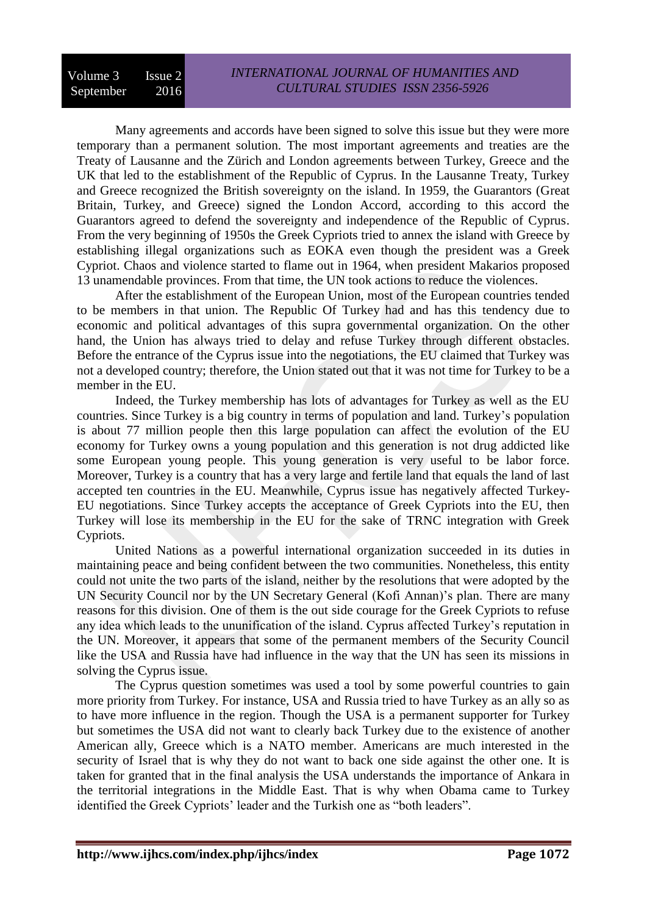Many agreements and accords have been signed to solve this issue but they were more temporary than a permanent solution. The most important agreements and treaties are the Treaty of Lausanne and the Zürich and London agreements between Turkey, Greece and the UK that led to the establishment of the Republic of Cyprus. In the Lausanne Treaty, Turkey and Greece recognized the British sovereignty on the island. In 1959, the Guarantors (Great Britain, Turkey, and Greece) signed the London Accord, according to this accord the Guarantors agreed to defend the sovereignty and independence of the Republic of Cyprus. From the very beginning of 1950s the Greek Cypriots tried to annex the island with Greece by establishing illegal organizations such as EOKA even though the president was a Greek Cypriot. Chaos and violence started to flame out in 1964, when president Makarios proposed 13 unamendable provinces. From that time, the UN took actions to reduce the violences.

After the establishment of the European Union, most of the European countries tended to be members in that union. The Republic Of Turkey had and has this tendency due to economic and political advantages of this supra governmental organization. On the other hand, the Union has always tried to delay and refuse Turkey through different obstacles. Before the entrance of the Cyprus issue into the negotiations, the EU claimed that Turkey was not a developed country; therefore, the Union stated out that it was not time for Turkey to be a member in the EU.

Indeed, the Turkey membership has lots of advantages for Turkey as well as the EU countries. Since Turkey is a big country in terms of population and land. Turkey's population is about 77 million people then this large population can affect the evolution of the EU economy for Turkey owns a young population and this generation is not drug addicted like some European young people. This young generation is very useful to be labor force. Moreover, Turkey is a country that has a very large and fertile land that equals the land of last accepted ten countries in the EU. Meanwhile, Cyprus issue has negatively affected Turkey-EU negotiations. Since Turkey accepts the acceptance of Greek Cypriots into the EU, then Turkey will lose its membership in the EU for the sake of TRNC integration with Greek Cypriots.

United Nations as a powerful international organization succeeded in its duties in maintaining peace and being confident between the two communities. Nonetheless, this entity could not unite the two parts of the island, neither by the resolutions that were adopted by the UN Security Council nor by the UN Secretary General (Kofi Annan)'s plan. There are many reasons for this division. One of them is the out side courage for the Greek Cypriots to refuse any idea which leads to the ununification of the island. Cyprus affected Turkey's reputation in the UN. Moreover, it appears that some of the permanent members of the Security Council like the USA and Russia have had influence in the way that the UN has seen its missions in solving the Cyprus issue.

The Cyprus question sometimes was used a tool by some powerful countries to gain more priority from Turkey. For instance, USA and Russia tried to have Turkey as an ally so as to have more influence in the region. Though the USA is a permanent supporter for Turkey but sometimes the USA did not want to clearly back Turkey due to the existence of another American ally, Greece which is a NATO member. Americans are much interested in the security of Israel that is why they do not want to back one side against the other one. It is taken for granted that in the final analysis the USA understands the importance of Ankara in the territorial integrations in the Middle East. That is why when Obama came to Turkey identified the Greek Cypriots' leader and the Turkish one as "both leaders".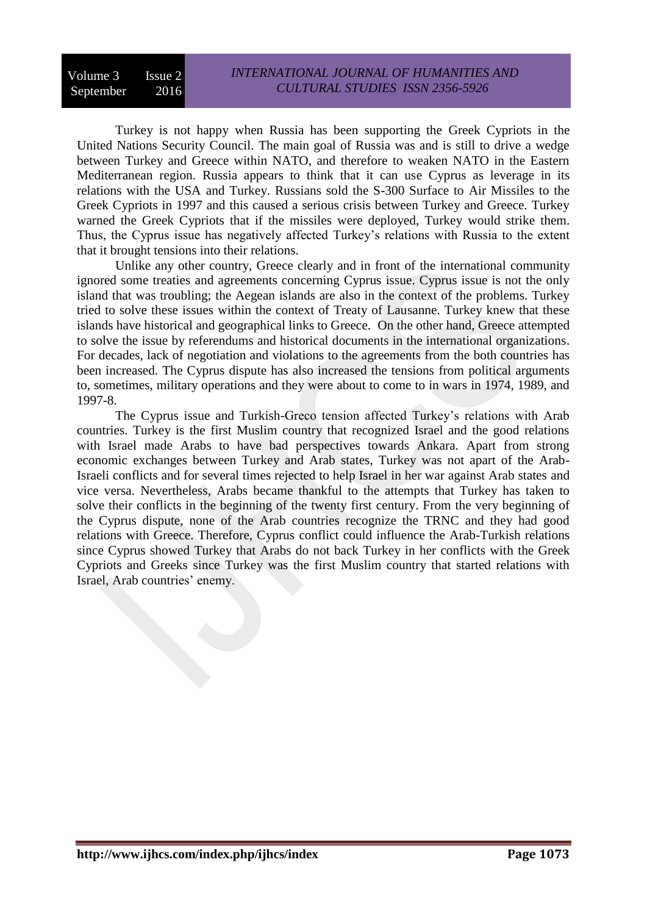#### Volume 3 Issue 2 September 2016 *INTERNATIONAL JOURNAL OF HUMANITIES AND CULTURAL STUDIES ISSN 2356-5926*

Turkey is not happy when Russia has been supporting the Greek Cypriots in the United Nations Security Council. The main goal of Russia was and is still to drive a wedge between Turkey and Greece within NATO, and therefore to weaken NATO in the Eastern Mediterranean region. Russia appears to think that it can use Cyprus as leverage in its relations with the USA and Turkey. Russians sold the S-300 Surface to Air Missiles to the Greek Cypriots in 1997 and this caused a serious crisis between Turkey and Greece. Turkey warned the Greek Cypriots that if the missiles were deployed, Turkey would strike them. Thus, the Cyprus issue has negatively affected Turkey's relations with Russia to the extent that it brought tensions into their relations.

Unlike any other country, Greece clearly and in front of the international community ignored some treaties and agreements concerning Cyprus issue. Cyprus issue is not the only island that was troubling; the Aegean islands are also in the context of the problems. Turkey tried to solve these issues within the context of Treaty of Lausanne. Turkey knew that these islands have historical and geographical links to Greece. On the other hand, Greece attempted to solve the issue by referendums and historical documents in the international organizations. For decades, lack of negotiation and violations to the agreements from the both countries has been increased. The Cyprus dispute has also increased the tensions from political arguments to, sometimes, military operations and they were about to come to in wars in 1974, 1989, and 1997-8.

The Cyprus issue and Turkish-Greco tension affected Turkey's relations with Arab countries. Turkey is the first Muslim country that recognized Israel and the good relations with Israel made Arabs to have bad perspectives towards Ankara. Apart from strong economic exchanges between Turkey and Arab states, Turkey was not apart of the Arab-Israeli conflicts and for several times rejected to help Israel in her war against Arab states and vice versa. Nevertheless, Arabs became thankful to the attempts that Turkey has taken to solve their conflicts in the beginning of the twenty first century. From the very beginning of the Cyprus dispute, none of the Arab countries recognize the TRNC and they had good relations with Greece. Therefore, Cyprus conflict could influence the Arab-Turkish relations since Cyprus showed Turkey that Arabs do not back Turkey in her conflicts with the Greek Cypriots and Greeks since Turkey was the first Muslim country that started relations with Israel, Arab countries' enemy.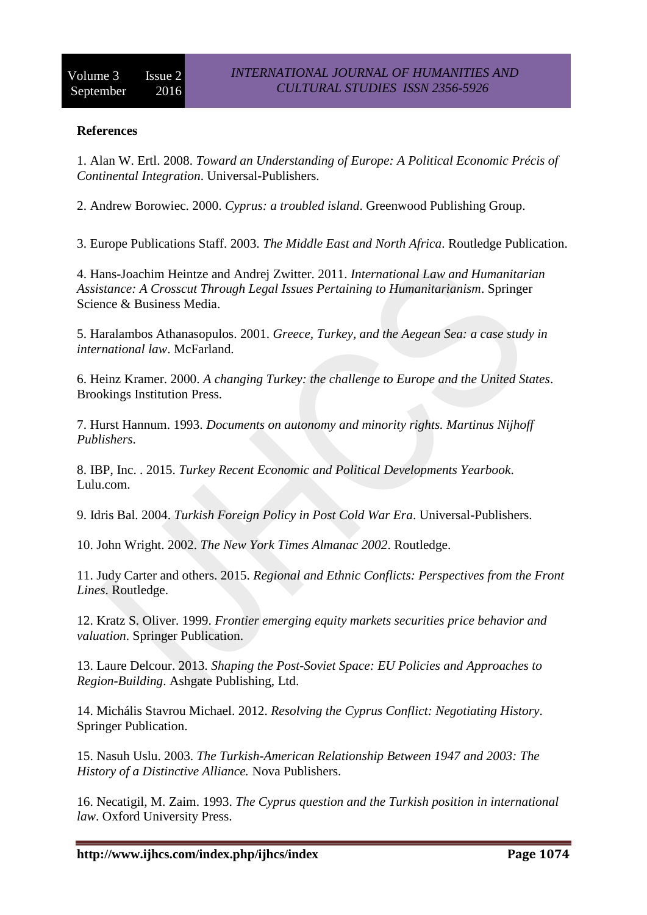### **References**

1. Alan W. Ertl. 2008. *Toward an Understanding of Europe: A Political Economic Précis of Continental Integration*. Universal-Publishers.

2. Andrew Borowiec. 2000. *Cyprus: a troubled island*. Greenwood Publishing Group.

3. Europe Publications Staff. 2003. *The Middle East and North Africa*. Routledge Publication.

4. [Hans-Joachim Heintze](https://www.google.iq/search?hl=ar&tbo=p&tbm=bks&q=inauthor:%22Hans-Joachim+Heintze%22&source=gbs_metadata_r&cad=7) and [Andrej Zwitter.](https://www.google.iq/search?hl=ar&tbo=p&tbm=bks&q=inauthor:%22Andrej+Zwitter%22&source=gbs_metadata_r&cad=7) 2011. *International Law and Humanitarian Assistance: A Crosscut Through Legal Issues Pertaining to Humanitarianism*. Springer Science & Business Media.

5. Haralambos Athanasopulos. 2001. *Greece, Turkey, and the Aegean Sea: a case study in international law*. McFarland.

6. Heinz Kramer. 2000. *A changing Turkey: the challenge to Europe and the United States*. Brookings Institution Press.

7. Hurst Hannum. 1993. *Documents on autonomy and minority rights. Martinus Nijhoff Publishers*.

8. [IBP, Inc.](https://www.google.iq/search?hl=ar&tbo=p&tbm=bks&q=inauthor:%22IBP,+Inc.%22&source=gbs_metadata_r&cad=6) . 2015. *Turkey Recent Economic and Political Developments Yearbook*. Lulu.com.

9. Idris Bal. 2004. *Turkish Foreign Policy in Post Cold War Era*. Universal-Publishers.

10. John Wright. 2002. *The New York Times Almanac 2002*. Routledge.

11. [Judy Carter](https://www.google.iq/search?hl=ar&tbo=p&tbm=bks&q=inauthor:%22Judy+Carter%22&source=gbs_metadata_r&cad=8) and others. 2015. *Regional and Ethnic Conflicts: Perspectives from the Front Lines*. Routledge.

12. Kratz S. Oliver. 1999. *Frontier emerging equity markets securities price behavior and valuation*. Springer Publication.

13. [Laure Delcour.](https://www.google.iq/search?hl=ar&tbo=p&tbm=bks&q=inauthor:%22Laure+Delcour%22&source=gbs_metadata_r&cad=7) 2013. *Shaping the Post-Soviet Space: EU Policies and Approaches to Region-Building*. Ashgate Publishing, Ltd.

14. [Michális Stavrou Michael.](https://www.google.iq/search?hl=ar&tbo=p&tbm=bks&q=inauthor:%22Mich%C3%A1lis+Stavrou+Michael%22&source=gbs_metadata_r&cad=8) 2012. *Resolving the Cyprus Conflict: Negotiating History*. Springer Publication.

15. [Nasuh Uslu.](https://www.google.iq/search?hl=ar&tbo=p&tbm=bks&q=inauthor:%22Nasuh+Uslu%22&source=gbs_metadata_r&cad=9) 2003. *The Turkish-American Relationship Between 1947 and 2003: The History of a Distinctive Alliance.* Nova Publishers.

16. Necatigil, M. Zaim. 1993. *The Cyprus question and the Turkish position in international law*. Oxford University Press.